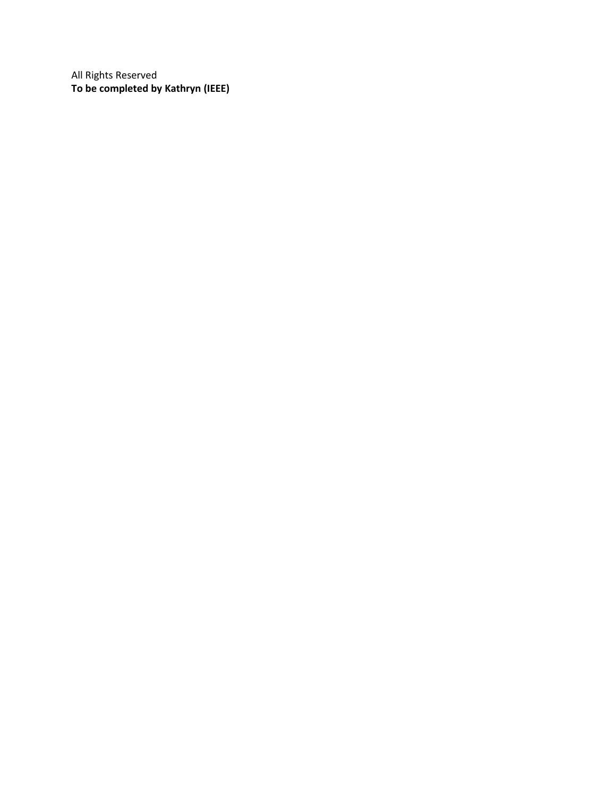All Rights Reserved **To be completed by Kathryn (IEEE)**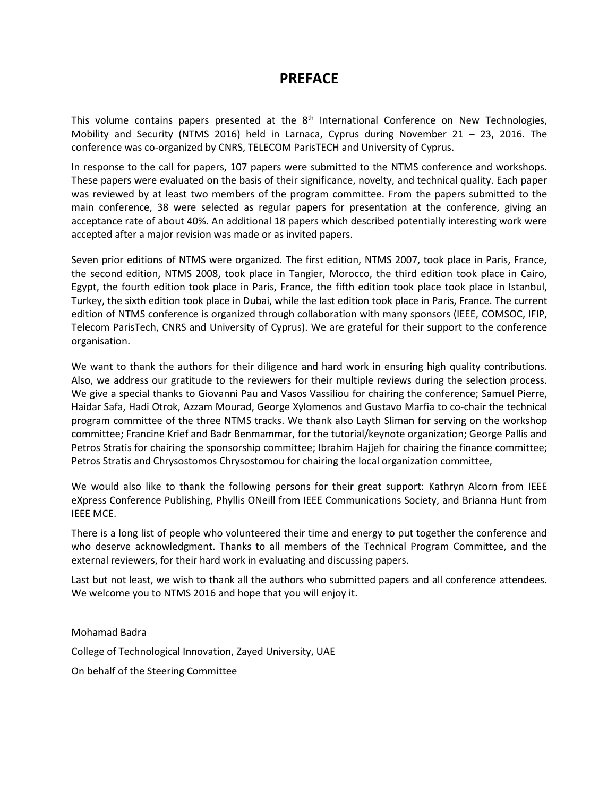## **PREFACE**

This volume contains papers presented at the 8<sup>th</sup> International Conference on New Technologies, Mobility and Security (NTMS 2016) held in Larnaca, Cyprus during November 21 – 23, 2016. The conference was co-organized by CNRS, TELECOM ParisTECH and University of Cyprus.

In response to the call for papers, 107 papers were submitted to the NTMS conference and workshops. These papers were evaluated on the basis of their significance, novelty, and technical quality. Each paper was reviewed by at least two members of the program committee. From the papers submitted to the main conference, 38 were selected as regular papers for presentation at the conference, giving an acceptance rate of about 40%. An additional 18 papers which described potentially interesting work were accepted after a major revision was made or as invited papers.

Seven prior editions of NTMS were organized. The first edition, NTMS 2007, took place in Paris, France, the second edition, NTMS 2008, took place in Tangier, Morocco, the third edition took place in Cairo, Egypt, the fourth edition took place in Paris, France, the fifth edition took place took place in Istanbul, Turkey, the sixth edition took place in Dubai, while the last edition took place in Paris, France. The current edition of NTMS conference is organized through collaboration with many sponsors (IEEE, COMSOC, IFIP, Telecom ParisTech, CNRS and University of Cyprus). We are grateful for their support to the conference organisation.

We want to thank the authors for their diligence and hard work in ensuring high quality contributions. Also, we address our gratitude to the reviewers for their multiple reviews during the selection process. We give a special thanks to Giovanni Pau and Vasos Vassiliou for chairing the conference; Samuel Pierre, Haidar Safa, Hadi Otrok, Azzam Mourad, George Xylomenos and Gustavo Marfia to co-chair the technical program committee of the three NTMS tracks. We thank also Layth Sliman for serving on the workshop committee; Francine Krief and Badr Benmammar, for the tutorial/keynote organization; George Pallis and Petros Stratis for chairing the sponsorship committee; Ibrahim Hajjeh for chairing the finance committee; Petros Stratis and Chrysostomos Chrysostomou for chairing the local organization committee,

We would also like to thank the following persons for their great support: Kathryn Alcorn from IEEE eXpress Conference Publishing, Phyllis ONeill from IEEE Communications Society, and Brianna Hunt from IEEE MCE.

There is a long list of people who volunteered their time and energy to put together the conference and who deserve acknowledgment. Thanks to all members of the Technical Program Committee, and the external reviewers, for their hard work in evaluating and discussing papers.

Last but not least, we wish to thank all the authors who submitted papers and all conference attendees. We welcome you to NTMS 2016 and hope that you will enjoy it.

Mohamad Badra College of Technological Innovation, Zayed University, UAE On behalf of the Steering Committee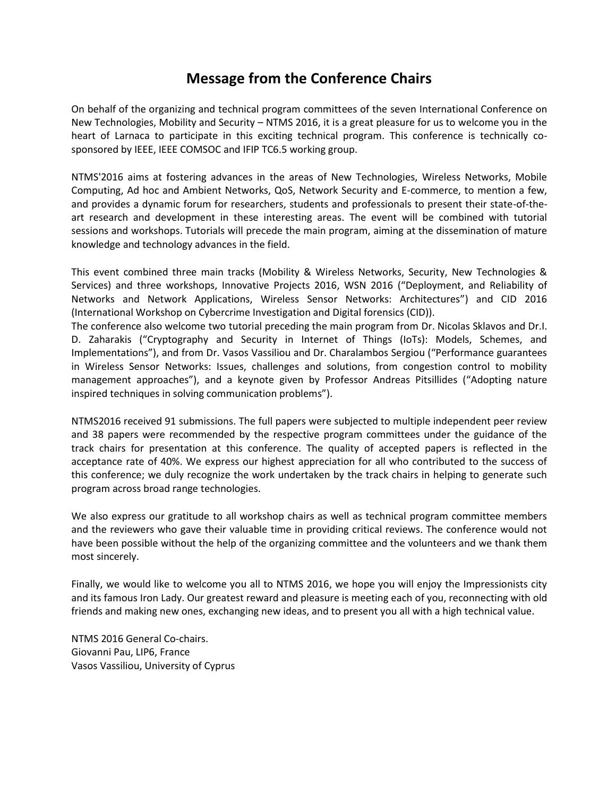## **Message from the Conference Chairs**

On behalf of the organizing and technical program committees of the seven International Conference on New Technologies, Mobility and Security – NTMS 2016, it is a great pleasure for us to welcome you in the heart of Larnaca to participate in this exciting technical program. This conference is technically cosponsored by IEEE, IEEE COMSOC and IFIP TC6.5 working group.

NTMS'2016 aims at fostering advances in the areas of New Technologies, Wireless Networks, Mobile Computing, Ad hoc and Ambient Networks, QoS, Network Security and E-commerce, to mention a few, and provides a dynamic forum for researchers, students and professionals to present their state-of-theart research and development in these interesting areas. The event will be combined with tutorial sessions and workshops. Tutorials will precede the main program, aiming at the dissemination of mature knowledge and technology advances in the field.

This event combined three main tracks (Mobility & Wireless Networks, Security, New Technologies & Services) and three workshops, Innovative Projects 2016, WSN 2016 ("Deployment, and Reliability of Networks and Network Applications, Wireless Sensor Networks: Architectures") and CID 2016 (International Workshop on Cybercrime Investigation and Digital forensics (CID)).

The conference also welcome two tutorial preceding the main program from Dr. Nicolas Sklavos and Dr.I. D. Zaharakis ("Cryptography and Security in Internet of Things (IoTs): Models, Schemes, and Implementations"), and from Dr. Vasos Vassiliou and Dr. Charalambos Sergiou ("Performance guarantees in Wireless Sensor Networks: Issues, challenges and solutions, from congestion control to mobility management approaches"), and a keynote given by Professor Andreas Pitsillides ("Adopting nature inspired techniques in solving communication problems").

NTMS2016 received 91 submissions. The full papers were subjected to multiple independent peer review and 38 papers were recommended by the respective program committees under the guidance of the track chairs for presentation at this conference. The quality of accepted papers is reflected in the acceptance rate of 40%. We express our highest appreciation for all who contributed to the success of this conference; we duly recognize the work undertaken by the track chairs in helping to generate such program across broad range technologies.

We also express our gratitude to all workshop chairs as well as technical program committee members and the reviewers who gave their valuable time in providing critical reviews. The conference would not have been possible without the help of the organizing committee and the volunteers and we thank them most sincerely.

Finally, we would like to welcome you all to NTMS 2016, we hope you will enjoy the Impressionists city and its famous Iron Lady. Our greatest reward and pleasure is meeting each of you, reconnecting with old friends and making new ones, exchanging new ideas, and to present you all with a high technical value.

NTMS 2016 General Co-chairs. Giovanni Pau, LIP6, France Vasos Vassiliou, University of Cyprus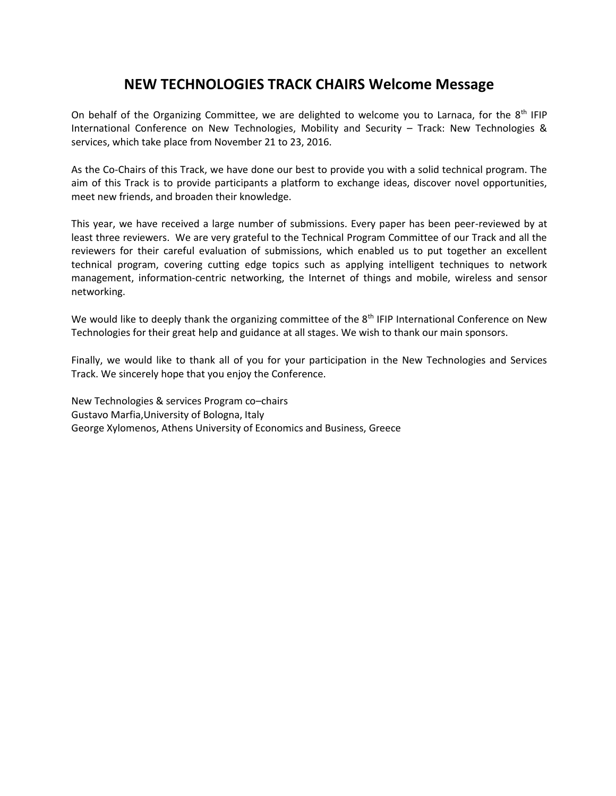## **NEW TECHNOLOGIES TRACK CHAIRS Welcome Message**

On behalf of the Organizing Committee, we are delighted to welcome you to Larnaca, for the  $8<sup>th</sup>$  IFIP International Conference on New Technologies, Mobility and Security – Track: New Technologies & services, which take place from November 21 to 23, 2016.

As the Co-Chairs of this Track, we have done our best to provide you with a solid technical program. The aim of this Track is to provide participants a platform to exchange ideas, discover novel opportunities, meet new friends, and broaden their knowledge.

This year, we have received a large number of submissions. Every paper has been peer-reviewed by at least three reviewers. We are very grateful to the Technical Program Committee of our Track and all the reviewers for their careful evaluation of submissions, which enabled us to put together an excellent technical program, covering cutting edge topics such as applying intelligent techniques to network management, information-centric networking, the Internet of things and mobile, wireless and sensor networking.

We would like to deeply thank the organizing committee of the  $8<sup>th</sup>$  IFIP International Conference on New Technologies for their great help and guidance at all stages. We wish to thank our main sponsors.

Finally, we would like to thank all of you for your participation in the New Technologies and Services Track. We sincerely hope that you enjoy the Conference.

New Technologies & services Program co–chairs Gustavo Marfia,University of Bologna, Italy George Xylomenos, Athens University of Economics and Business, Greece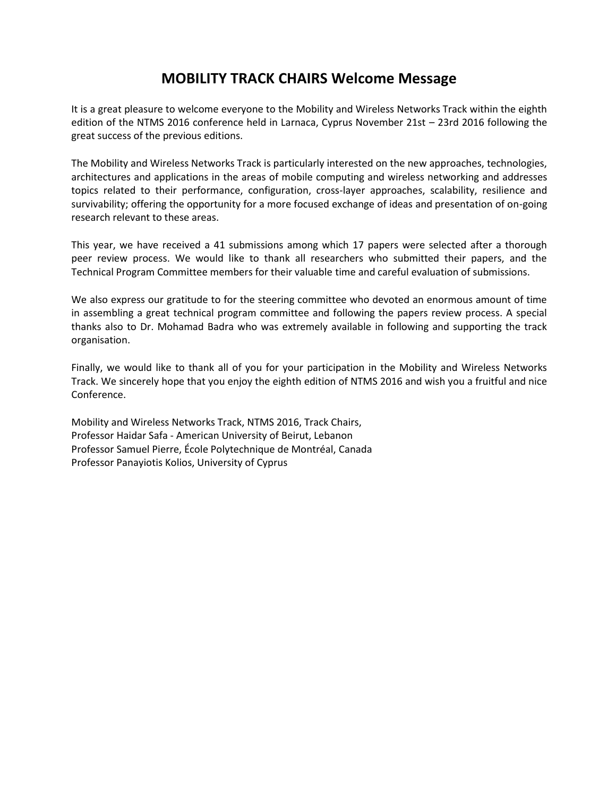## **MOBILITY TRACK CHAIRS Welcome Message**

It is a great pleasure to welcome everyone to the Mobility and Wireless Networks Track within the eighth edition of the NTMS 2016 conference held in Larnaca, Cyprus November 21st – 23rd 2016 following the great success of the previous editions.

The Mobility and Wireless Networks Track is particularly interested on the new approaches, technologies, architectures and applications in the areas of mobile computing and wireless networking and addresses topics related to their performance, configuration, cross-layer approaches, scalability, resilience and survivability; offering the opportunity for a more focused exchange of ideas and presentation of on-going research relevant to these areas.

This year, we have received a 41 submissions among which 17 papers were selected after a thorough peer review process. We would like to thank all researchers who submitted their papers, and the Technical Program Committee members for their valuable time and careful evaluation of submissions.

We also express our gratitude to for the steering committee who devoted an enormous amount of time in assembling a great technical program committee and following the papers review process. A special thanks also to Dr. Mohamad Badra who was extremely available in following and supporting the track organisation.

Finally, we would like to thank all of you for your participation in the Mobility and Wireless Networks Track. We sincerely hope that you enjoy the eighth edition of NTMS 2016 and wish you a fruitful and nice Conference.

Mobility and Wireless Networks Track, NTMS 2016, Track Chairs, Professor Haidar Safa - American University of Beirut, Lebanon Professor Samuel Pierre, École Polytechnique de Montréal, Canada Professor Panayiotis Kolios, University of Cyprus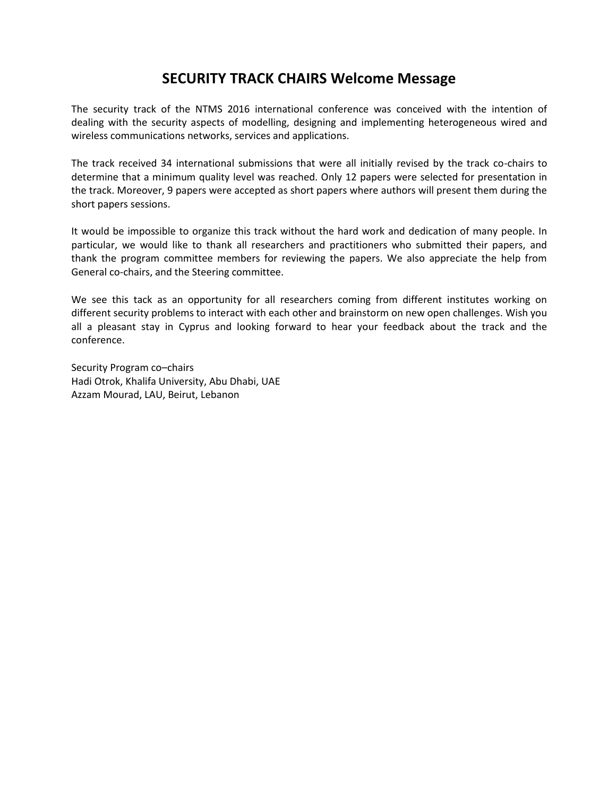## **SECURITY TRACK CHAIRS Welcome Message**

The security track of the NTMS 2016 international conference was conceived with the intention of dealing with the security aspects of modelling, designing and implementing heterogeneous wired and wireless communications networks, services and applications.

The track received 34 international submissions that were all initially revised by the track co-chairs to determine that a minimum quality level was reached. Only 12 papers were selected for presentation in the track. Moreover, 9 papers were accepted as short papers where authors will present them during the short papers sessions.

It would be impossible to organize this track without the hard work and dedication of many people. In particular, we would like to thank all researchers and practitioners who submitted their papers, and thank the program committee members for reviewing the papers. We also appreciate the help from General co-chairs, and the Steering committee.

We see this tack as an opportunity for all researchers coming from different institutes working on different security problems to interact with each other and brainstorm on new open challenges. Wish you all a pleasant stay in Cyprus and looking forward to hear your feedback about the track and the conference.

Security Program co–chairs Hadi Otrok, Khalifa University, Abu Dhabi, UAE Azzam Mourad, LAU, Beirut, Lebanon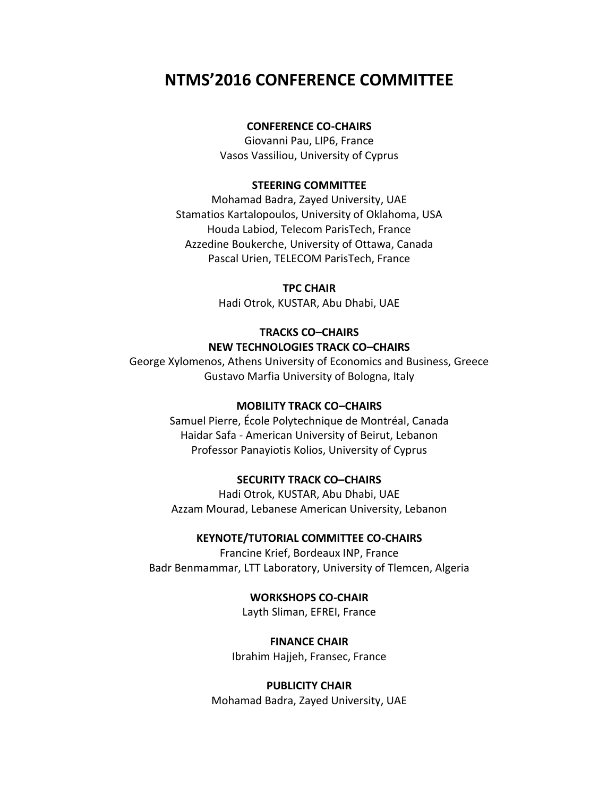# **NTMS'2016 CONFERENCE COMMITTEE**

## **CONFERENCE CO-CHAIRS**

Giovanni Pau, LIP6, France Vasos Vassiliou, University of Cyprus

#### **STEERING COMMITTEE**

Mohamad Badra, Zayed University, UAE Stamatios Kartalopoulos, University of Oklahoma, USA Houda Labiod, Telecom ParisTech, France Azzedine Boukerche, University of Ottawa, Canada Pascal Urien, TELECOM ParisTech, France

### **TPC CHAIR**

Hadi Otrok, KUSTAR, Abu Dhabi, UAE

## **TRACKS CO–CHAIRS NEW TECHNOLOGIES TRACK CO–CHAIRS**

George Xylomenos, Athens University of Economics and Business, Greece Gustavo Marfia University of Bologna, Italy

#### **MOBILITY TRACK CO–CHAIRS**

Samuel Pierre, École Polytechnique de Montréal, Canada Haidar Safa - American University of Beirut, Lebanon Professor Panayiotis Kolios, University of Cyprus

### **SECURITY TRACK CO–CHAIRS**

Hadi Otrok, KUSTAR, Abu Dhabi, UAE Azzam Mourad, Lebanese American University, Lebanon

### **KEYNOTE/TUTORIAL COMMITTEE CO-CHAIRS**

Francine Krief, Bordeaux INP, France Badr Benmammar, LTT Laboratory, University of Tlemcen, Algeria

> **WORKSHOPS CO-CHAIR** Layth Sliman, EFREI, France

**FINANCE CHAIR** Ibrahim Hajjeh, Fransec, France

## **PUBLICITY CHAIR** Mohamad Badra, Zayed University, UAE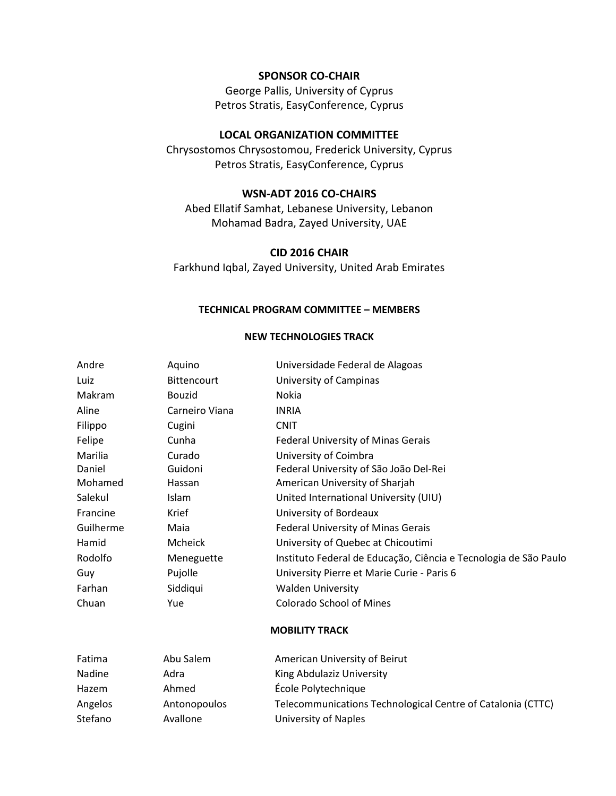#### **SPONSOR CO-CHAIR**

George Pallis, University of Cyprus Petros Stratis, EasyConference, Cyprus

### **LOCAL ORGANIZATION COMMITTEE**

Chrysostomos Chrysostomou, Frederick University, Cyprus Petros Stratis, EasyConference, Cyprus

### **WSN-ADT 2016 CO-CHAIRS**

Abed Ellatif Samhat, Lebanese University, Lebanon Mohamad Badra, Zayed University, UAE

#### **CID 2016 CHAIR**

Farkhund Iqbal, Zayed University, United Arab Emirates

#### **TECHNICAL PROGRAM COMMITTEE – MEMBERS**

#### **NEW TECHNOLOGIES TRACK**

| Andre     | Aquino             | Universidade Federal de Alagoas                                  |  |  |
|-----------|--------------------|------------------------------------------------------------------|--|--|
| Luiz      | <b>Bittencourt</b> | University of Campinas                                           |  |  |
| Makram    | <b>Bouzid</b>      | Nokia                                                            |  |  |
| Aline     | Carneiro Viana     | <b>INRIA</b>                                                     |  |  |
| Filippo   | Cugini             | <b>CNIT</b>                                                      |  |  |
| Felipe    | Cunha              | Federal University of Minas Gerais                               |  |  |
| Marilia   | Curado             | University of Coimbra                                            |  |  |
| Daniel    | Guidoni            | Federal University of São João Del-Rei                           |  |  |
| Mohamed   | Hassan             | American University of Sharjah                                   |  |  |
| Salekul   | <b>Islam</b>       | United International University (UIU)                            |  |  |
| Francine  | Krief              | University of Bordeaux                                           |  |  |
| Guilherme | Maia               | Federal University of Minas Gerais                               |  |  |
| Hamid     | Mcheick            | University of Quebec at Chicoutimi                               |  |  |
| Rodolfo   | Meneguette         | Instituto Federal de Educação, Ciência e Tecnologia de São Paulo |  |  |
| Guy       | Pujolle            | University Pierre et Marie Curie - Paris 6                       |  |  |
| Farhan    | Siddiqui           | <b>Walden University</b>                                         |  |  |
| Chuan     | Yue                | <b>Colorado School of Mines</b>                                  |  |  |
|           |                    | <b>MOBILITY TRACK</b>                                            |  |  |
| Fatima    | Abu Salem          | American University of Beirut                                    |  |  |
| Nadine    | Adra               | King Abdulaziz University                                        |  |  |
| Hazem     | Ahmed              | École Polytechnique                                              |  |  |
| Angelos   | Antonopoulos       | Telecommunications Technological Centre of Catalonia (CTTC)      |  |  |

Stefano Avallone University of Naples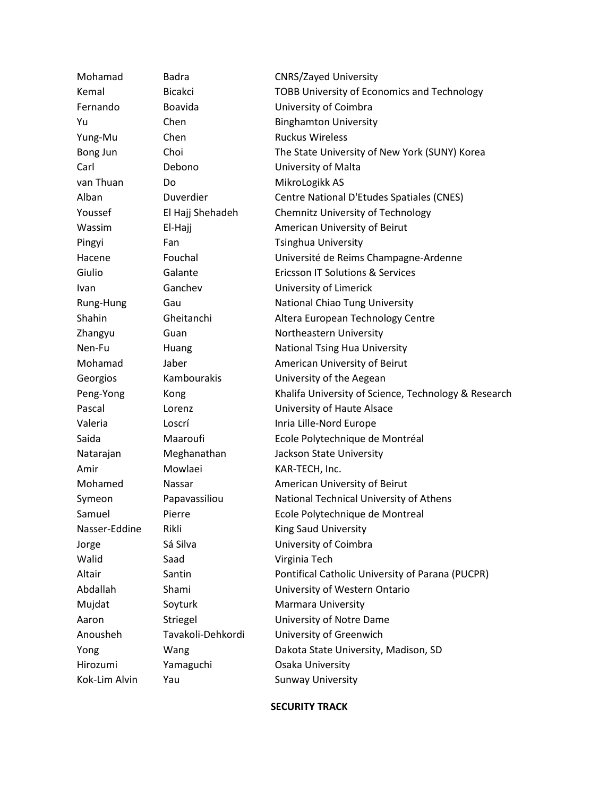| Mohamad       | Badra             | <b>CNRS/Zayed University</b>                         |  |  |
|---------------|-------------------|------------------------------------------------------|--|--|
| Kemal         | <b>Bicakci</b>    | <b>TOBB University of Economics and Technology</b>   |  |  |
| Fernando      | <b>Boavida</b>    | University of Coimbra                                |  |  |
| Yu            | Chen              | <b>Binghamton University</b>                         |  |  |
| Yung-Mu       | Chen              | <b>Ruckus Wireless</b>                               |  |  |
| Bong Jun      | Choi              | The State University of New York (SUNY) Korea        |  |  |
| Carl          | Debono            | University of Malta                                  |  |  |
| van Thuan     | Do                | MikroLogikk AS                                       |  |  |
| Alban         | Duverdier         | Centre National D'Etudes Spatiales (CNES)            |  |  |
| Youssef       | El Hajj Shehadeh  | <b>Chemnitz University of Technology</b>             |  |  |
| Wassim        | El-Hajj           | American University of Beirut                        |  |  |
| Pingyi        | Fan               | <b>Tsinghua University</b>                           |  |  |
| Hacene        | Fouchal           | Université de Reims Champagne-Ardenne                |  |  |
| Giulio        | Galante           | <b>Ericsson IT Solutions &amp; Services</b>          |  |  |
| Ivan          | Ganchev           | University of Limerick                               |  |  |
| Rung-Hung     | Gau               | National Chiao Tung University                       |  |  |
| Shahin        | Gheitanchi        | Altera European Technology Centre                    |  |  |
| Zhangyu       | Guan              | Northeastern University                              |  |  |
| Nen-Fu        | Huang             | <b>National Tsing Hua University</b>                 |  |  |
| Mohamad       | Jaber             | American University of Beirut                        |  |  |
| Georgios      | Kambourakis       | University of the Aegean                             |  |  |
| Peng-Yong     | Kong              | Khalifa University of Science, Technology & Research |  |  |
| Pascal        | Lorenz            | University of Haute Alsace                           |  |  |
| Valeria       | Loscrí            | Inria Lille-Nord Europe                              |  |  |
| Saida         | Maaroufi          | Ecole Polytechnique de Montréal                      |  |  |
| Natarajan     | Meghanathan       | Jackson State University                             |  |  |
| Amir          | Mowlaei           | KAR-TECH, Inc.                                       |  |  |
| Mohamed       | Nassar            | American University of Beirut                        |  |  |
| Symeon        | Papavassiliou     | National Technical University of Athens              |  |  |
| Samuel        | Pierre            | Ecole Polytechnique de Montreal                      |  |  |
| Nasser-Eddine | Rikli             | King Saud University                                 |  |  |
| Jorge         | Sá Silva          | University of Coimbra                                |  |  |
| Walid         | Saad              | Virginia Tech                                        |  |  |
| Altair        | Santin            | Pontifical Catholic University of Parana (PUCPR)     |  |  |
| Abdallah      | Shami             | University of Western Ontario                        |  |  |
| Mujdat        | Soyturk           | <b>Marmara University</b>                            |  |  |
| Aaron         | Striegel          | University of Notre Dame                             |  |  |
| Anousheh      | Tavakoli-Dehkordi | University of Greenwich                              |  |  |
| Yong          | Wang              | Dakota State University, Madison, SD                 |  |  |
| Hirozumi      | Yamaguchi         | Osaka University                                     |  |  |
| Kok-Lim Alvin | Yau               | <b>Sunway University</b>                             |  |  |
|               |                   |                                                      |  |  |

#### **SECURITY TRACK**